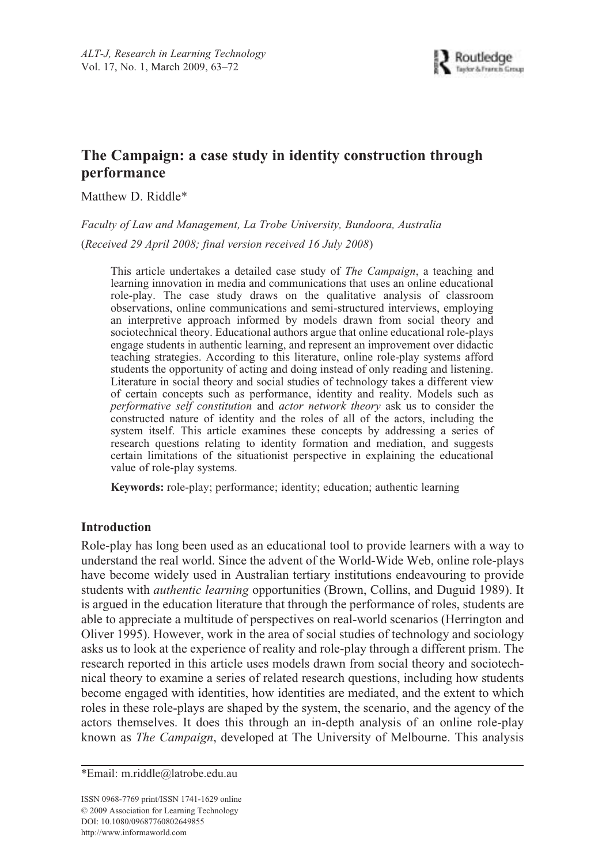# **The Campaign: a case study in identity construction through performance**

Matthew D. Riddle\*

*Faculty of Law and Management, La Trobe University, Bundoora, Australia* (*Received 29 April 2008; final version received 16 July 2008*)

This article undertakes a detailed case study of *The Campaign*, a teaching and learning innovation in media and communications that uses an online educational role-play. The case study draws on the qualitative analysis of classroom observations, online communications and semi-structured interviews, employing an interpretive approach informed by models drawn from social theory and sociotechnical theory. Educational authors argue that online educational role-plays engage students in authentic learning, and represent an improvement over didactic teaching strategies. According to this literature, online role-play systems afford students the opportunity of acting and doing instead of only reading and listening. Literature in social theory and social studies of technology takes a different view of certain concepts such as performance, identity and reality. Models such as *performative self constitution* and *actor network theory* ask us to consider the constructed nature of identity and the roles of all of the actors, including the system itself. This article examines these concepts by addressing a series of research questions relating to identity formation and mediation, and suggests certain limitations of the situationist perspective in explaining the educational value of role-play systems.

**Keywords:** role-play; performance; identity; education; authentic learning

## **Introduction**

Role-play has long been used as an educational tool to provide learners with a way to understand the real world. Since the advent of the World-Wide Web, online role-plays have become widely used in Australian tertiary institutions endeavouring to provide students with *authentic learning* opportunities (Brown, Collins, and Duguid 1989). It is argued in the education literature that through the performance of roles, students are able to appreciate a multitude of perspectives on real-world scenarios (Herrington and Oliver 1995). However, work in the area of social studies of technology and sociology asks us to look at the experience of reality and role-play through a different prism. The research reported in this article uses models drawn from social theory and sociotechnical theory to examine a series of related research questions, including how students become engaged with identities, how identities are mediated, and the extent to which roles in these role-plays are shaped by the system, the scenario, and the agency of the actors themselves. It does this through an in-depth analysis of an online role-play known as *The Campaign*, developed at The University of Melbourne. This analysis

ISSN 0968-7769 print/ISSN 1741-1629 online © 2009 Association for Learning Technology DOI: 10.1080/09687760802649855 http://www.informaworld.com

<sup>\*</sup>Email: m.riddle@latrobe.edu.au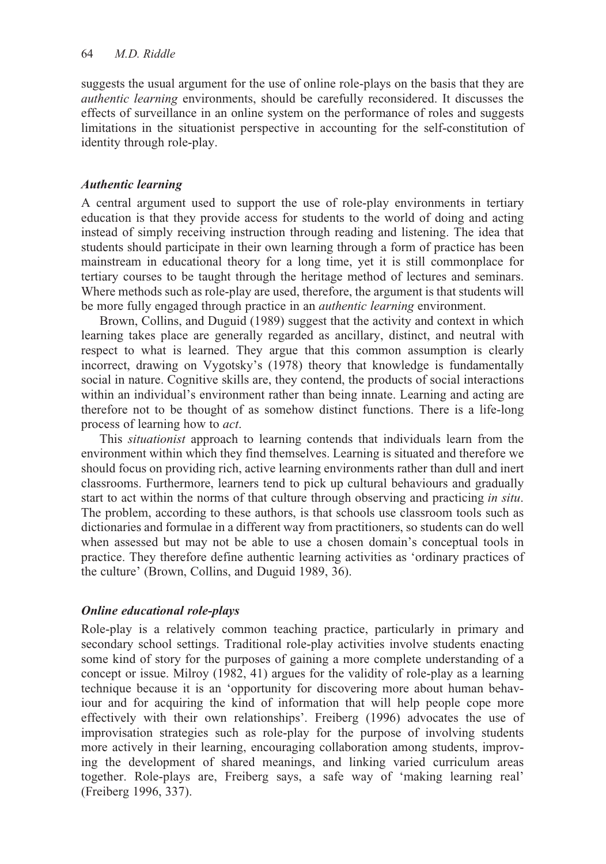suggests the usual argument for the use of online role-plays on the basis that they are *authentic learning* environments, should be carefully reconsidered. It discusses the effects of surveillance in an online system on the performance of roles and suggests limitations in the situationist perspective in accounting for the self-constitution of identity through role-play.

# *Authentic learning*

A central argument used to support the use of role-play environments in tertiary education is that they provide access for students to the world of doing and acting instead of simply receiving instruction through reading and listening. The idea that students should participate in their own learning through a form of practice has been mainstream in educational theory for a long time, yet it is still commonplace for tertiary courses to be taught through the heritage method of lectures and seminars. Where methods such as role-play are used, therefore, the argument is that students will be more fully engaged through practice in an *authentic learning* environment.

Brown, Collins, and Duguid (1989) suggest that the activity and context in which learning takes place are generally regarded as ancillary, distinct, and neutral with respect to what is learned. They argue that this common assumption is clearly incorrect, drawing on Vygotsky's (1978) theory that knowledge is fundamentally social in nature. Cognitive skills are, they contend, the products of social interactions within an individual's environment rather than being innate. Learning and acting are therefore not to be thought of as somehow distinct functions. There is a life-long process of learning how to *act*.

This *situationist* approach to learning contends that individuals learn from the environment within which they find themselves. Learning is situated and therefore we should focus on providing rich, active learning environments rather than dull and inert classrooms. Furthermore, learners tend to pick up cultural behaviours and gradually start to act within the norms of that culture through observing and practicing *in situ*. The problem, according to these authors, is that schools use classroom tools such as dictionaries and formulae in a different way from practitioners, so students can do well when assessed but may not be able to use a chosen domain's conceptual tools in practice. They therefore define authentic learning activities as 'ordinary practices of the culture' (Brown, Collins, and Duguid 1989, 36).

# *Online educational role-plays*

Role-play is a relatively common teaching practice, particularly in primary and secondary school settings. Traditional role-play activities involve students enacting some kind of story for the purposes of gaining a more complete understanding of a concept or issue. Milroy (1982, 41) argues for the validity of role-play as a learning technique because it is an 'opportunity for discovering more about human behaviour and for acquiring the kind of information that will help people cope more effectively with their own relationships'. Freiberg (1996) advocates the use of improvisation strategies such as role-play for the purpose of involving students more actively in their learning, encouraging collaboration among students, improving the development of shared meanings, and linking varied curriculum areas together. Role-plays are, Freiberg says, a safe way of 'making learning real' (Freiberg 1996, 337).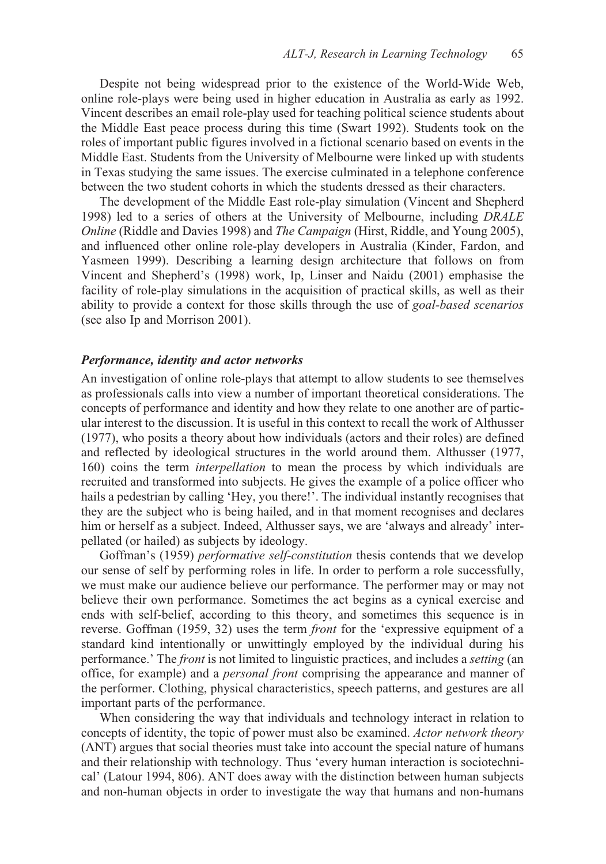Despite not being widespread prior to the existence of the World-Wide Web, online role-plays were being used in higher education in Australia as early as 1992. Vincent describes an email role-play used for teaching political science students about the Middle East peace process during this time (Swart 1992). Students took on the roles of important public figures involved in a fictional scenario based on events in the Middle East. Students from the University of Melbourne were linked up with students in Texas studying the same issues. The exercise culminated in a telephone conference between the two student cohorts in which the students dressed as their characters.

The development of the Middle East role-play simulation (Vincent and Shepherd 1998) led to a series of others at the University of Melbourne, including *DRALE Online* (Riddle and Davies 1998) and *The Campaign* (Hirst, Riddle, and Young 2005), and influenced other online role-play developers in Australia (Kinder, Fardon, and Yasmeen 1999). Describing a learning design architecture that follows on from Vincent and Shepherd's (1998) work, Ip, Linser and Naidu (2001) emphasise the facility of role-play simulations in the acquisition of practical skills, as well as their ability to provide a context for those skills through the use of *goal-based scenarios* (see also Ip and Morrison 2001).

#### *Performance, identity and actor networks*

An investigation of online role-plays that attempt to allow students to see themselves as professionals calls into view a number of important theoretical considerations. The concepts of performance and identity and how they relate to one another are of particular interest to the discussion. It is useful in this context to recall the work of Althusser (1977), who posits a theory about how individuals (actors and their roles) are defined and reflected by ideological structures in the world around them. Althusser (1977, 160) coins the term *interpellation* to mean the process by which individuals are recruited and transformed into subjects. He gives the example of a police officer who hails a pedestrian by calling 'Hey, you there!'. The individual instantly recognises that they are the subject who is being hailed, and in that moment recognises and declares him or herself as a subject. Indeed, Althusser says, we are 'always and already' interpellated (or hailed) as subjects by ideology.

Goffman's (1959) *performative self-constitution* thesis contends that we develop our sense of self by performing roles in life. In order to perform a role successfully, we must make our audience believe our performance. The performer may or may not believe their own performance. Sometimes the act begins as a cynical exercise and ends with self-belief, according to this theory, and sometimes this sequence is in reverse. Goffman (1959, 32) uses the term *front* for the 'expressive equipment of a standard kind intentionally or unwittingly employed by the individual during his performance.' The *front* is not limited to linguistic practices, and includes a *setting* (an office, for example) and a *personal front* comprising the appearance and manner of the performer. Clothing, physical characteristics, speech patterns, and gestures are all important parts of the performance.

When considering the way that individuals and technology interact in relation to concepts of identity, the topic of power must also be examined. *Actor network theory* (ANT) argues that social theories must take into account the special nature of humans and their relationship with technology. Thus 'every human interaction is sociotechnical' (Latour 1994, 806). ANT does away with the distinction between human subjects and non-human objects in order to investigate the way that humans and non-humans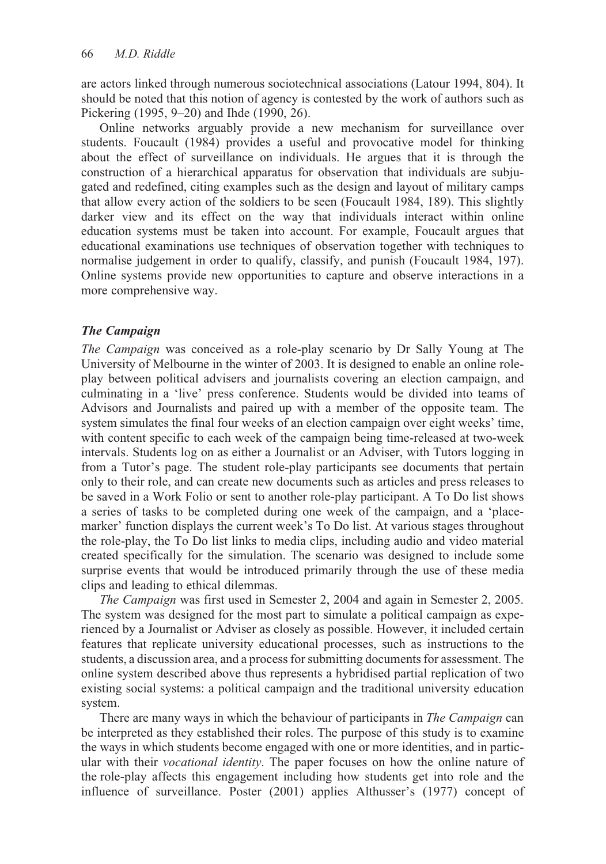are actors linked through numerous sociotechnical associations (Latour 1994, 804). It should be noted that this notion of agency is contested by the work of authors such as Pickering (1995, 9–20) and Ihde (1990, 26).

Online networks arguably provide a new mechanism for surveillance over students. Foucault (1984) provides a useful and provocative model for thinking about the effect of surveillance on individuals. He argues that it is through the construction of a hierarchical apparatus for observation that individuals are subjugated and redefined, citing examples such as the design and layout of military camps that allow every action of the soldiers to be seen (Foucault 1984, 189). This slightly darker view and its effect on the way that individuals interact within online education systems must be taken into account. For example, Foucault argues that educational examinations use techniques of observation together with techniques to normalise judgement in order to qualify, classify, and punish (Foucault 1984, 197). Online systems provide new opportunities to capture and observe interactions in a more comprehensive way.

## *The Campaign*

*The Campaign* was conceived as a role-play scenario by Dr Sally Young at The University of Melbourne in the winter of 2003. It is designed to enable an online roleplay between political advisers and journalists covering an election campaign, and culminating in a 'live' press conference. Students would be divided into teams of Advisors and Journalists and paired up with a member of the opposite team. The system simulates the final four weeks of an election campaign over eight weeks' time, with content specific to each week of the campaign being time-released at two-week intervals. Students log on as either a Journalist or an Adviser, with Tutors logging in from a Tutor's page. The student role-play participants see documents that pertain only to their role, and can create new documents such as articles and press releases to be saved in a Work Folio or sent to another role-play participant. A To Do list shows a series of tasks to be completed during one week of the campaign, and a 'placemarker' function displays the current week's To Do list. At various stages throughout the role-play, the To Do list links to media clips, including audio and video material created specifically for the simulation. The scenario was designed to include some surprise events that would be introduced primarily through the use of these media clips and leading to ethical dilemmas.

*The Campaign* was first used in Semester 2, 2004 and again in Semester 2, 2005. The system was designed for the most part to simulate a political campaign as experienced by a Journalist or Adviser as closely as possible. However, it included certain features that replicate university educational processes, such as instructions to the students, a discussion area, and a process for submitting documents for assessment. The online system described above thus represents a hybridised partial replication of two existing social systems: a political campaign and the traditional university education system.

There are many ways in which the behaviour of participants in *The Campaign* can be interpreted as they established their roles. The purpose of this study is to examine the ways in which students become engaged with one or more identities, and in particular with their *vocational identity*. The paper focuses on how the online nature of the role-play affects this engagement including how students get into role and the influence of surveillance. Poster (2001) applies Althusser's (1977) concept of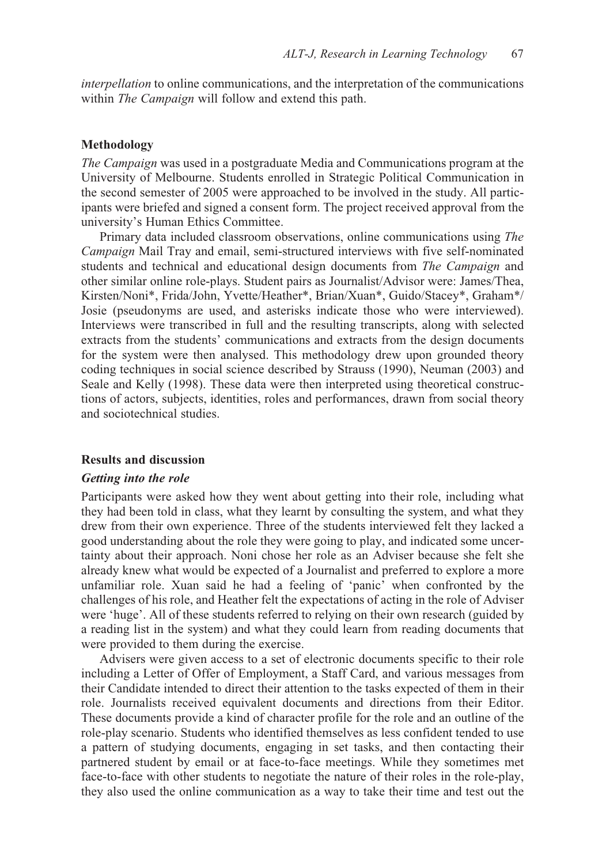*interpellation* to online communications, and the interpretation of the communications within *The Campaign* will follow and extend this path.

## **Methodology**

*The Campaign* was used in a postgraduate Media and Communications program at the University of Melbourne. Students enrolled in Strategic Political Communication in the second semester of 2005 were approached to be involved in the study. All participants were briefed and signed a consent form. The project received approval from the university's Human Ethics Committee.

Primary data included classroom observations, online communications using *The Campaign* Mail Tray and email, semi-structured interviews with five self-nominated students and technical and educational design documents from *The Campaign* and other similar online role-plays. Student pairs as Journalist/Advisor were: James/Thea, Kirsten/Noni\*, Frida/John, Yvette/Heather\*, Brian/Xuan\*, Guido/Stacey\*, Graham\*/ Josie (pseudonyms are used, and asterisks indicate those who were interviewed). Interviews were transcribed in full and the resulting transcripts, along with selected extracts from the students' communications and extracts from the design documents for the system were then analysed. This methodology drew upon grounded theory coding techniques in social science described by Strauss (1990), Neuman (2003) and Seale and Kelly (1998). These data were then interpreted using theoretical constructions of actors, subjects, identities, roles and performances, drawn from social theory and sociotechnical studies.

#### **Results and discussion**

#### *Getting into the role*

Participants were asked how they went about getting into their role, including what they had been told in class, what they learnt by consulting the system, and what they drew from their own experience. Three of the students interviewed felt they lacked a good understanding about the role they were going to play, and indicated some uncertainty about their approach. Noni chose her role as an Adviser because she felt she already knew what would be expected of a Journalist and preferred to explore a more unfamiliar role. Xuan said he had a feeling of 'panic' when confronted by the challenges of his role, and Heather felt the expectations of acting in the role of Adviser were 'huge'. All of these students referred to relying on their own research (guided by a reading list in the system) and what they could learn from reading documents that were provided to them during the exercise.

Advisers were given access to a set of electronic documents specific to their role including a Letter of Offer of Employment, a Staff Card, and various messages from their Candidate intended to direct their attention to the tasks expected of them in their role. Journalists received equivalent documents and directions from their Editor. These documents provide a kind of character profile for the role and an outline of the role-play scenario. Students who identified themselves as less confident tended to use a pattern of studying documents, engaging in set tasks, and then contacting their partnered student by email or at face-to-face meetings. While they sometimes met face-to-face with other students to negotiate the nature of their roles in the role-play, they also used the online communication as a way to take their time and test out the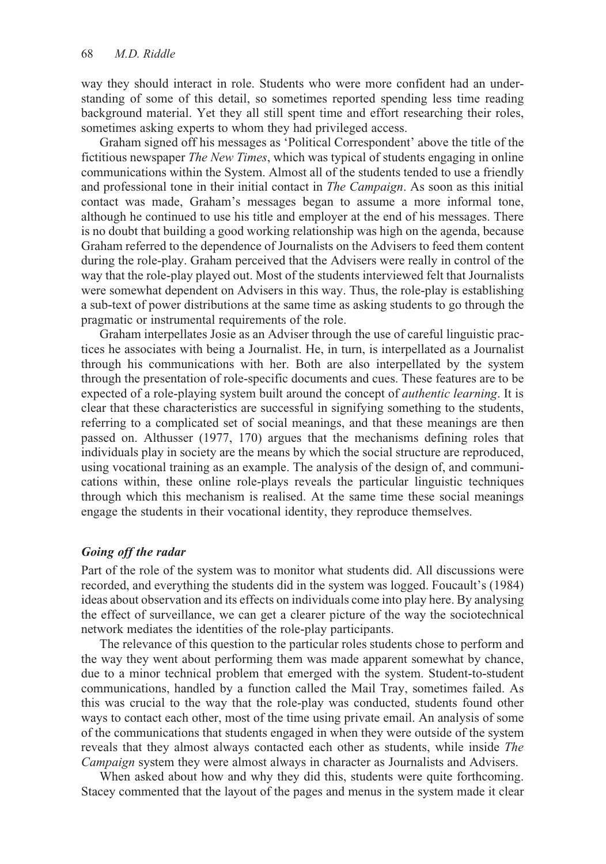way they should interact in role. Students who were more confident had an understanding of some of this detail, so sometimes reported spending less time reading background material. Yet they all still spent time and effort researching their roles, sometimes asking experts to whom they had privileged access.

Graham signed off his messages as 'Political Correspondent' above the title of the fictitious newspaper *The New Times*, which was typical of students engaging in online communications within the System. Almost all of the students tended to use a friendly and professional tone in their initial contact in *The Campaign*. As soon as this initial contact was made, Graham's messages began to assume a more informal tone, although he continued to use his title and employer at the end of his messages. There is no doubt that building a good working relationship was high on the agenda, because Graham referred to the dependence of Journalists on the Advisers to feed them content during the role-play. Graham perceived that the Advisers were really in control of the way that the role-play played out. Most of the students interviewed felt that Journalists were somewhat dependent on Advisers in this way. Thus, the role-play is establishing a sub-text of power distributions at the same time as asking students to go through the pragmatic or instrumental requirements of the role.

Graham interpellates Josie as an Adviser through the use of careful linguistic practices he associates with being a Journalist. He, in turn, is interpellated as a Journalist through his communications with her. Both are also interpellated by the system through the presentation of role-specific documents and cues. These features are to be expected of a role-playing system built around the concept of *authentic learning*. It is clear that these characteristics are successful in signifying something to the students, referring to a complicated set of social meanings, and that these meanings are then passed on. Althusser (1977, 170) argues that the mechanisms defining roles that individuals play in society are the means by which the social structure are reproduced, using vocational training as an example. The analysis of the design of, and communications within, these online role-plays reveals the particular linguistic techniques through which this mechanism is realised. At the same time these social meanings engage the students in their vocational identity, they reproduce themselves.

## *Going off the radar*

Part of the role of the system was to monitor what students did. All discussions were recorded, and everything the students did in the system was logged. Foucault's (1984) ideas about observation and its effects on individuals come into play here. By analysing the effect of surveillance, we can get a clearer picture of the way the sociotechnical network mediates the identities of the role-play participants.

The relevance of this question to the particular roles students chose to perform and the way they went about performing them was made apparent somewhat by chance, due to a minor technical problem that emerged with the system. Student-to-student communications, handled by a function called the Mail Tray, sometimes failed. As this was crucial to the way that the role-play was conducted, students found other ways to contact each other, most of the time using private email. An analysis of some of the communications that students engaged in when they were outside of the system reveals that they almost always contacted each other as students, while inside *The Campaign* system they were almost always in character as Journalists and Advisers.

When asked about how and why they did this, students were quite forthcoming. Stacey commented that the layout of the pages and menus in the system made it clear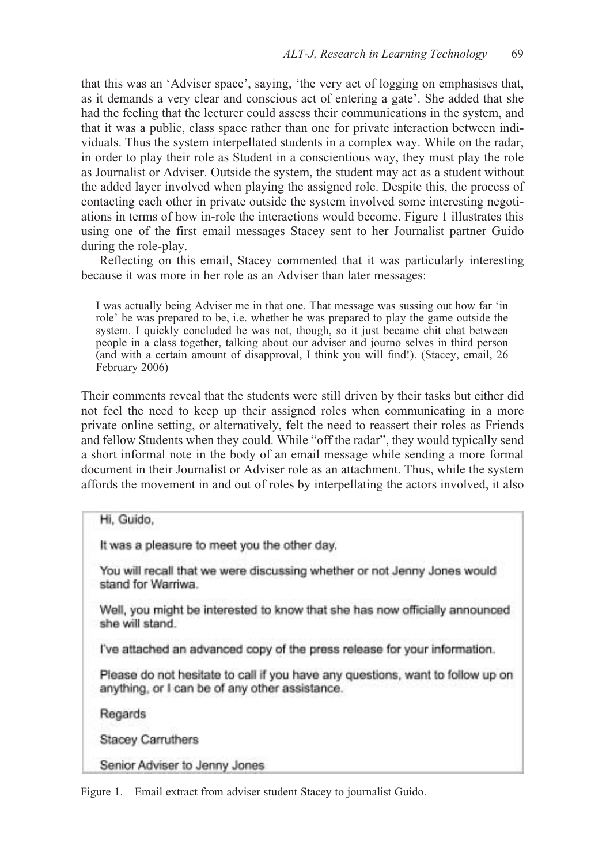that this was an 'Adviser space', saying, 'the very act of logging on emphasises that, as it demands a very clear and conscious act of entering a gate'. She added that she had the feeling that the lecturer could assess their communications in the system, and that it was a public, class space rather than one for private interaction between individuals. Thus the system interpellated students in a complex way. While on the radar, in order to play their role as Student in a conscientious way, they must play the role as Journalist or Adviser. Outside the system, the student may act as a student without the added layer involved when playing the assigned role. Despite this, the process of contacting each other in private outside the system involved some interesting negotiations in terms of how in-role the interactions would become. Figure 1 illustrates this using one of the first email messages Stacey sent to her Journalist partner Guido during the role-play.

Reflecting on this email, Stacey commented that it was particularly interesting because it was more in her role as an Adviser than later messages:

I was actually being Adviser me in that one. That message was sussing out how far 'in role' he was prepared to be, i.e. whether he was prepared to play the game outside the system. I quickly concluded he was not, though, so it just became chit chat between people in a class together, talking about our adviser and journo selves in third person (and with a certain amount of disapproval, I think you will find!). (Stacey, email, 26 February 2006)

Their comments reveal that the students were still driven by their tasks but either did not feel the need to keep up their assigned roles when communicating in a more private online setting, or alternatively, felt the need to reassert their roles as Friends and fellow Students when they could. While "off the radar", they would typically send a short informal note in the body of an email message while sending a more formal document in their Journalist or Adviser role as an attachment. Thus, while the system affords the movement in and out of roles by interpellating the actors involved, it also

## Hi, Guido,

It was a pleasure to meet you the other day.

You will recall that we were discussing whether or not Jenny Jones would stand for Warriwa.

Well, you might be interested to know that she has now officially announced she will stand.

I've attached an advanced copy of the press release for your information.

Please do not hesitate to call if you have any questions, want to follow up on anything, or I can be of any other assistance.

Regards

Stacey Carruthers

Senior Adviser to Jenny Jones

Figure 1. Email extract from adviser student Stacey to journalist Guido.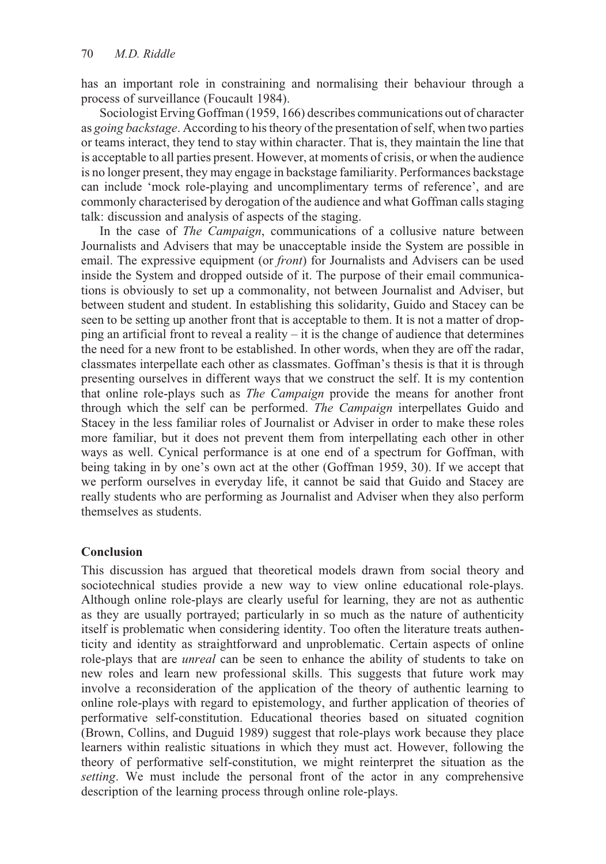has an important role in constraining and normalising their behaviour through a process of surveillance (Foucault 1984).

Sociologist Erving Goffman (1959, 166) describes communications out of character as *going backstage*. According to his theory of the presentation of self, when two parties or teams interact, they tend to stay within character. That is, they maintain the line that is acceptable to all parties present. However, at moments of crisis, or when the audience is no longer present, they may engage in backstage familiarity. Performances backstage can include 'mock role-playing and uncomplimentary terms of reference', and are commonly characterised by derogation of the audience and what Goffman calls staging talk: discussion and analysis of aspects of the staging.

In the case of *The Campaign*, communications of a collusive nature between Journalists and Advisers that may be unacceptable inside the System are possible in email. The expressive equipment (or *front*) for Journalists and Advisers can be used inside the System and dropped outside of it. The purpose of their email communications is obviously to set up a commonality, not between Journalist and Adviser, but between student and student. In establishing this solidarity, Guido and Stacey can be seen to be setting up another front that is acceptable to them. It is not a matter of dropping an artificial front to reveal a reality – it is the change of audience that determines the need for a new front to be established. In other words, when they are off the radar, classmates interpellate each other as classmates. Goffman's thesis is that it is through presenting ourselves in different ways that we construct the self. It is my contention that online role-plays such as *The Campaign* provide the means for another front through which the self can be performed. *The Campaign* interpellates Guido and Stacey in the less familiar roles of Journalist or Adviser in order to make these roles more familiar, but it does not prevent them from interpellating each other in other ways as well. Cynical performance is at one end of a spectrum for Goffman, with being taking in by one's own act at the other (Goffman 1959, 30). If we accept that we perform ourselves in everyday life, it cannot be said that Guido and Stacey are really students who are performing as Journalist and Adviser when they also perform themselves as students.

## **Conclusion**

This discussion has argued that theoretical models drawn from social theory and sociotechnical studies provide a new way to view online educational role-plays. Although online role-plays are clearly useful for learning, they are not as authentic as they are usually portrayed; particularly in so much as the nature of authenticity itself is problematic when considering identity. Too often the literature treats authenticity and identity as straightforward and unproblematic. Certain aspects of online role-plays that are *unreal* can be seen to enhance the ability of students to take on new roles and learn new professional skills. This suggests that future work may involve a reconsideration of the application of the theory of authentic learning to online role-plays with regard to epistemology, and further application of theories of performative self-constitution. Educational theories based on situated cognition (Brown, Collins, and Duguid 1989) suggest that role-plays work because they place learners within realistic situations in which they must act. However, following the theory of performative self-constitution, we might reinterpret the situation as the *setting*. We must include the personal front of the actor in any comprehensive description of the learning process through online role-plays.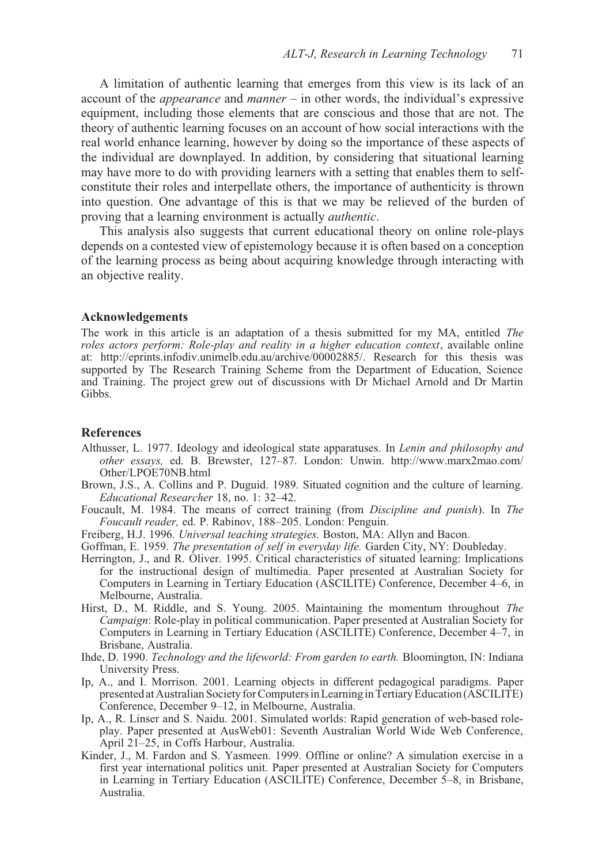A limitation of authentic learning that emerges from this view is its lack of an account of the *appearance* and *manner* – in other words, the individual's expressive equipment, including those elements that are conscious and those that are not. The theory of authentic learning focuses on an account of how social interactions with the real world enhance learning, however by doing so the importance of these aspects of the individual are downplayed. In addition, by considering that situational learning may have more to do with providing learners with a setting that enables them to selfconstitute their roles and interpellate others, the importance of authenticity is thrown into question. One advantage of this is that we may be relieved of the burden of proving that a learning environment is actually *authentic*.

This analysis also suggests that current educational theory on online role-plays depends on a contested view of epistemology because it is often based on a conception of the learning process as being about acquiring knowledge through interacting with an objective reality.

#### **Acknowledgements**

The work in this article is an adaptation of a thesis submitted for my MA, entitled *The roles actors perform: Role-play and reality in a higher education context*, available online at: http://eprints.infodiv.unimelb.edu.au/archive/00002885/. Research for this thesis was supported by The Research Training Scheme from the Department of Education, Science and Training. The project grew out of discussions with Dr Michael Arnold and Dr Martin Gibbs.

## **References**

- Althusser, L. 1977. Ideology and ideological state apparatuses. In *Lenin and philosophy and other essays,* ed. B. Brewster, 127–87. London: Unwin. http://www.marx2mao.com/ Other/LPOE70NB.html
- Brown, J.S., A. Collins and P. Duguid. 1989. Situated cognition and the culture of learning. *Educational Researcher* 18, no. 1: 32–42.
- Foucault, M. 1984. The means of correct training (from *Discipline and punish*). In *The Foucault reader,* ed. P. Rabinov, 188–205. London: Penguin.
- Freiberg, H.J. 1996. *Universal teaching strategies.* Boston, MA: Allyn and Bacon.
- Goffman, E. 1959. *The presentation of self in everyday life.* Garden City, NY: Doubleday.
- Herrington, J., and R. Oliver. 1995. Critical characteristics of situated learning: Implications for the instructional design of multimedia. Paper presented at Australian Society for Computers in Learning in Tertiary Education (ASCILITE) Conference, December 4–6, in Melbourne, Australia.
- Hirst, D., M. Riddle, and S. Young. 2005. Maintaining the momentum throughout *The Campaign*: Role-play in political communication. Paper presented at Australian Society for Computers in Learning in Tertiary Education (ASCILITE) Conference, December 4–7, in Brisbane, Australia.
- Ihde, D. 1990. *Technology and the lifeworld: From garden to earth.* Bloomington, IN: Indiana University Press.
- Ip, A., and I. Morrison. 2001. Learning objects in different pedagogical paradigms. Paper presented at Australian Society for Computers in Learning in Tertiary Education (ASCILITE) Conference, December 9–12, in Melbourne, Australia.
- Ip, A., R. Linser and S. Naidu. 2001. Simulated worlds: Rapid generation of web-based roleplay. Paper presented at AusWeb01: Seventh Australian World Wide Web Conference, April 21–25, in Coffs Harbour, Australia.
- Kinder, J., M. Fardon and S. Yasmeen. 1999. Offline or online? A simulation exercise in a first year international politics unit. Paper presented at Australian Society for Computers in Learning in Tertiary Education (ASCILITE) Conference, December 5–8, in Brisbane, Australia.